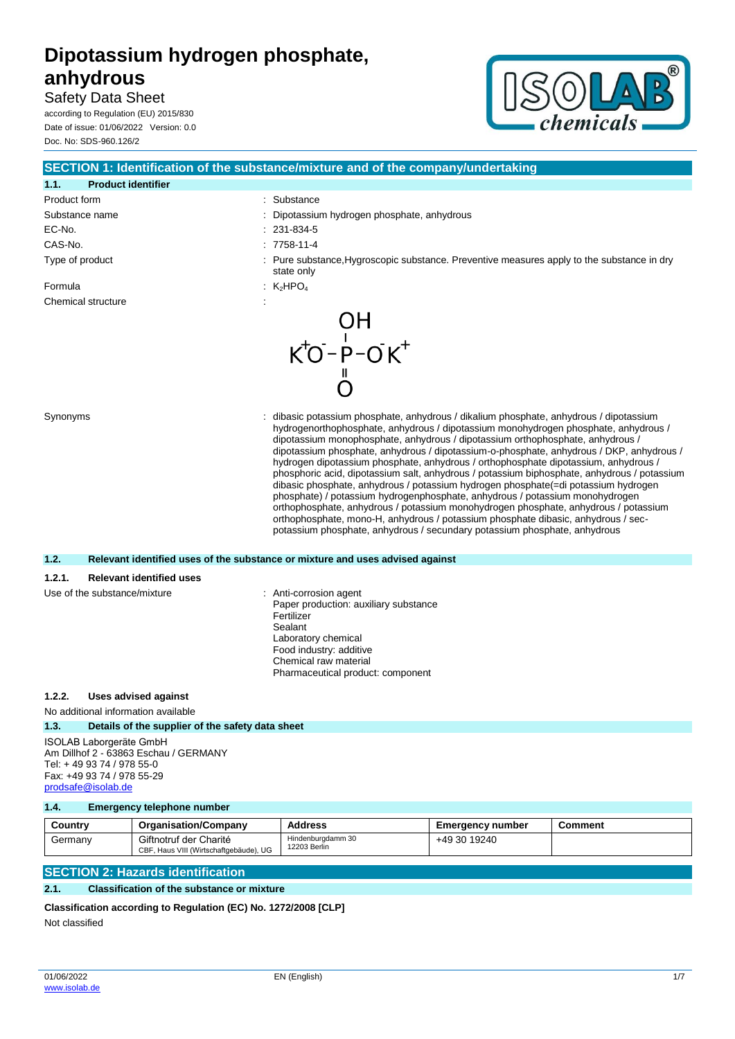Safety Data Sheet according to Regulation (EU) 2015/830

Date of issue: 01/06/2022 Version: 0.0 Doc. No: SDS-960.126/2



|                                           | SECTION 1: Identification of the substance/mixture and of the company/undertaking                                                                                                                                                                                                                                                                                                                                                                                                                                                                                                                                                                                                                                                                                                                                                                                                                                                                                              |
|-------------------------------------------|--------------------------------------------------------------------------------------------------------------------------------------------------------------------------------------------------------------------------------------------------------------------------------------------------------------------------------------------------------------------------------------------------------------------------------------------------------------------------------------------------------------------------------------------------------------------------------------------------------------------------------------------------------------------------------------------------------------------------------------------------------------------------------------------------------------------------------------------------------------------------------------------------------------------------------------------------------------------------------|
| <b>Product identifier</b><br>1.1.         |                                                                                                                                                                                                                                                                                                                                                                                                                                                                                                                                                                                                                                                                                                                                                                                                                                                                                                                                                                                |
| Product form                              | Substance                                                                                                                                                                                                                                                                                                                                                                                                                                                                                                                                                                                                                                                                                                                                                                                                                                                                                                                                                                      |
| Substance name                            | Dipotassium hydrogen phosphate, anhydrous                                                                                                                                                                                                                                                                                                                                                                                                                                                                                                                                                                                                                                                                                                                                                                                                                                                                                                                                      |
| EC-No.                                    | 231-834-5                                                                                                                                                                                                                                                                                                                                                                                                                                                                                                                                                                                                                                                                                                                                                                                                                                                                                                                                                                      |
| CAS-No.                                   | 7758-11-4                                                                                                                                                                                                                                                                                                                                                                                                                                                                                                                                                                                                                                                                                                                                                                                                                                                                                                                                                                      |
| Type of product                           | Pure substance, Hygroscopic substance. Preventive measures apply to the substance in dry<br>state only                                                                                                                                                                                                                                                                                                                                                                                                                                                                                                                                                                                                                                                                                                                                                                                                                                                                         |
| Formula                                   | K <sub>2</sub> HPO <sub>4</sub>                                                                                                                                                                                                                                                                                                                                                                                                                                                                                                                                                                                                                                                                                                                                                                                                                                                                                                                                                |
| Chemical structure                        |                                                                                                                                                                                                                                                                                                                                                                                                                                                                                                                                                                                                                                                                                                                                                                                                                                                                                                                                                                                |
|                                           | OH<br>$K^+O^-P^-OK^+$                                                                                                                                                                                                                                                                                                                                                                                                                                                                                                                                                                                                                                                                                                                                                                                                                                                                                                                                                          |
| Synonyms                                  | dibasic potassium phosphate, anhydrous / dikalium phosphate, anhydrous / dipotassium<br>hydrogenorthophosphate, anhydrous / dipotassium monohydrogen phosphate, anhydrous /<br>dipotassium monophosphate, anhydrous / dipotassium orthophosphate, anhydrous /<br>dipotassium phosphate, anhydrous / dipotassium-o-phosphate, anhydrous / DKP, anhydrous /<br>hydrogen dipotassium phosphate, anhydrous / orthophosphate dipotassium, anhydrous /<br>phosphoric acid, dipotassium salt, anhydrous / potassium biphosphate, anhydrous / potassium<br>dibasic phosphate, anhydrous / potassium hydrogen phosphate(=di potassium hydrogen<br>phosphate) / potassium hydrogenphosphate, anhydrous / potassium monohydrogen<br>orthophosphate, anhydrous / potassium monohydrogen phosphate, anhydrous / potassium<br>orthophosphate, mono-H, anhydrous / potassium phosphate dibasic, anhydrous / sec-<br>potassium phosphate, anhydrous / secundary potassium phosphate, anhydrous |
| 1.2.                                      | Relevant identified uses of the substance or mixture and uses advised against                                                                                                                                                                                                                                                                                                                                                                                                                                                                                                                                                                                                                                                                                                                                                                                                                                                                                                  |
| 1.2.1.<br><b>Relevant identified uses</b> |                                                                                                                                                                                                                                                                                                                                                                                                                                                                                                                                                                                                                                                                                                                                                                                                                                                                                                                                                                                |
| Use of the substance/mixture              | : Anti-corrosion agent<br>Paper production: auxiliary substance<br>Fertilizer<br>Sealant<br>Laboratory chemical<br>Food industry: additive<br>Chemical raw material<br>Pharmaceutical product: component                                                                                                                                                                                                                                                                                                                                                                                                                                                                                                                                                                                                                                                                                                                                                                       |

#### **1.2.2. Uses advised against**

No additional information available

#### **1.3. Details of the supplier of the safety data sheet**

ISOLAB Laborgeräte GmbH Am Dillhof 2 - 63863 Eschau / GERMANY Tel: + 49 93 74 / 978 55-0 Fax: +49 93 74 / 978 55-29 [prodsafe@isolab.de](mailto:prodsafe@isolab.de)

#### **1.4. Emergency telephone number**

| Country | <b>Organisation/Company</b>                                      | <b>Address</b>                    | <b>Emergency number</b> | Comment |
|---------|------------------------------------------------------------------|-----------------------------------|-------------------------|---------|
| Germany | Giftnotruf der Charité<br>CBF, Haus VIII (Wirtschaftgebäude), UG | Hindenburgdamm 30<br>12203 Berlin | +49 30 19240            |         |

# **SECTION 2: Hazards identification**

#### **2.1. Classification of the substance or mixture**

```
Classification according to Regulation (EC) No. 1272/2008 [CLP]
```
Not classified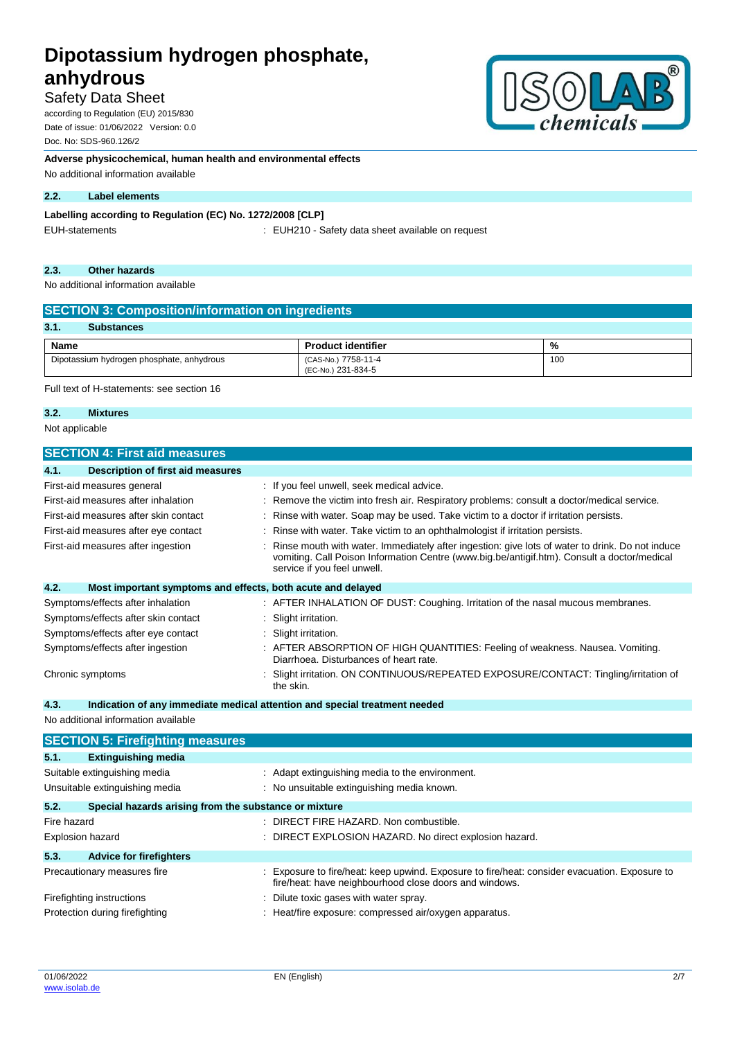# Safety Data Sheet

according to Regulation (EU) 2015/830 Date of issue: 01/06/2022 Version: 0.0 Doc. No: SDS-960.126/2

**Adverse physicochemical, human health and environmental effects**

No additional information available

#### **2.2. Label elements**

### **Labelling according to Regulation (EC) No. 1272/2008 [CLP]**

EUH-statements : EUH210 - Safety data sheet available on request

#### **2.3. Other hazards**

No additional information available

| <b>SECTION 3: Composition/information on ingredients</b> |                                           |     |  |
|----------------------------------------------------------|-------------------------------------------|-----|--|
| 3.1.<br><b>Substances</b>                                |                                           |     |  |
| Name                                                     | <b>Product identifier</b>                 | %   |  |
| Dipotassium hydrogen phosphate, anhydrous                | (CAS-No.) 7758-11-4<br>(EC-No.) 231-834-5 | 100 |  |

Full text of H-statements: see section 16

### **3.2. Mixtures**

Not applicable

| <b>SECTION 4: First aid measures</b>                                |                                                                                                                                                                                                                               |
|---------------------------------------------------------------------|-------------------------------------------------------------------------------------------------------------------------------------------------------------------------------------------------------------------------------|
| <b>Description of first aid measures</b><br>4.1.                    |                                                                                                                                                                                                                               |
| First-aid measures general                                          | : If you feel unwell, seek medical advice.                                                                                                                                                                                    |
| First-aid measures after inhalation                                 | Remove the victim into fresh air. Respiratory problems: consult a doctor/medical service.                                                                                                                                     |
| First-aid measures after skin contact                               | Rinse with water. Soap may be used. Take victim to a doctor if irritation persists.                                                                                                                                           |
| First-aid measures after eye contact                                | Rinse with water. Take victim to an ophthalmologist if irritation persists.                                                                                                                                                   |
| First-aid measures after ingestion                                  | Rinse mouth with water. Immediately after ingestion: give lots of water to drink. Do not induce<br>vomiting. Call Poison Information Centre (www.big.be/antigif.htm). Consult a doctor/medical<br>service if you feel unwell. |
| 4.2.<br>Most important symptoms and effects, both acute and delayed |                                                                                                                                                                                                                               |
| Symptoms/effects after inhalation                                   | : AFTER INHALATION OF DUST: Coughing. Irritation of the nasal mucous membranes.                                                                                                                                               |
| Symptoms/effects after skin contact                                 | Slight irritation.                                                                                                                                                                                                            |
| Symptoms/effects after eye contact                                  | Slight irritation.                                                                                                                                                                                                            |
| Symptoms/effects after ingestion                                    | AFTER ABSORPTION OF HIGH QUANTITIES: Feeling of weakness. Nausea. Vomiting.<br>Diarrhoea. Disturbances of heart rate.                                                                                                         |
| Chronic symptoms                                                    | Slight irritation. ON CONTINUOUS/REPEATED EXPOSURE/CONTACT: Tingling/irritation of<br>the skin.                                                                                                                               |
| 4.3.                                                                | Indication of any immediate medical attention and special treatment needed                                                                                                                                                    |
| No additional information available                                 |                                                                                                                                                                                                                               |
| <b>SECTION 5: Firefighting measures</b>                             |                                                                                                                                                                                                                               |
| 5.1.<br><b>Extinguishing media</b>                                  |                                                                                                                                                                                                                               |
| Suitable extinguishing media                                        | : Adapt extinguishing media to the environment.                                                                                                                                                                               |
| Unsuitable extinguishing media                                      | : No unsuitable extinguishing media known.                                                                                                                                                                                    |
| 5.2.<br>Special hazards arising from the substance or mixture       |                                                                                                                                                                                                                               |
| Fire hazard                                                         | : DIRECT FIRE HAZARD. Non combustible.                                                                                                                                                                                        |
| Explosion hazard                                                    | : DIRECT EXPLOSION HAZARD. No direct explosion hazard.                                                                                                                                                                        |
| 5.3.<br><b>Advice for firefighters</b>                              |                                                                                                                                                                                                                               |
| Precautionary measures fire                                         | Exposure to fire/heat: keep upwind. Exposure to fire/heat: consider evacuation. Exposure to<br>fire/heat: have neighbourhood close doors and windows.                                                                         |
| Firefighting instructions                                           | Dilute toxic gases with water spray.                                                                                                                                                                                          |

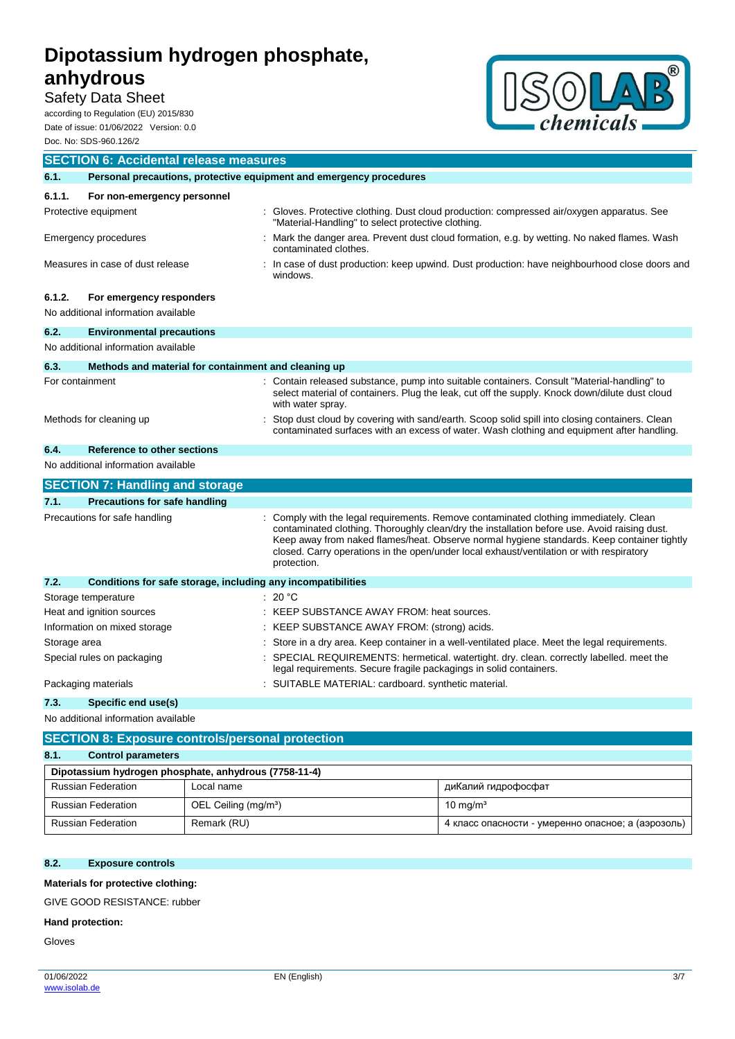# Safety Data Sheet

according to Regulation (EU) 2015/830 Date of issue: 01/06/2022 Version: 0.0 Doc. No: SDS-960.126/2



|                           | <b>SECTION 6: Accidental release measures</b>                       |                                                                                                                                                                                                                                                                                                                                                                                              |
|---------------------------|---------------------------------------------------------------------|----------------------------------------------------------------------------------------------------------------------------------------------------------------------------------------------------------------------------------------------------------------------------------------------------------------------------------------------------------------------------------------------|
| 6.1.                      | Personal precautions, protective equipment and emergency procedures |                                                                                                                                                                                                                                                                                                                                                                                              |
| 6.1.1.                    | For non-emergency personnel                                         |                                                                                                                                                                                                                                                                                                                                                                                              |
|                           | Protective equipment                                                | Gloves. Protective clothing. Dust cloud production: compressed air/oxygen apparatus. See<br>"Material-Handling" to select protective clothing.                                                                                                                                                                                                                                               |
|                           | Emergency procedures                                                | Mark the danger area. Prevent dust cloud formation, e.g. by wetting. No naked flames. Wash<br>contaminated clothes.                                                                                                                                                                                                                                                                          |
|                           | Measures in case of dust release                                    | In case of dust production: keep upwind. Dust production: have neighbourhood close doors and<br>windows.                                                                                                                                                                                                                                                                                     |
| 6.1.2.                    | For emergency responders                                            |                                                                                                                                                                                                                                                                                                                                                                                              |
|                           | No additional information available                                 |                                                                                                                                                                                                                                                                                                                                                                                              |
| 6.2.                      | <b>Environmental precautions</b>                                    |                                                                                                                                                                                                                                                                                                                                                                                              |
|                           | No additional information available                                 |                                                                                                                                                                                                                                                                                                                                                                                              |
| 6.3.                      | Methods and material for containment and cleaning up                |                                                                                                                                                                                                                                                                                                                                                                                              |
| For containment           |                                                                     | : Contain released substance, pump into suitable containers. Consult "Material-handling" to<br>select material of containers. Plug the leak, cut off the supply. Knock down/dilute dust cloud<br>with water spray.                                                                                                                                                                           |
|                           | Methods for cleaning up                                             | Stop dust cloud by covering with sand/earth. Scoop solid spill into closing containers. Clean<br>contaminated surfaces with an excess of water. Wash clothing and equipment after handling.                                                                                                                                                                                                  |
| 6.4.                      | Reference to other sections                                         |                                                                                                                                                                                                                                                                                                                                                                                              |
|                           | No additional information available                                 |                                                                                                                                                                                                                                                                                                                                                                                              |
|                           | <b>SECTION 7: Handling and storage</b>                              |                                                                                                                                                                                                                                                                                                                                                                                              |
| 7.1.                      | <b>Precautions for safe handling</b>                                |                                                                                                                                                                                                                                                                                                                                                                                              |
|                           | Precautions for safe handling                                       | Comply with the legal requirements. Remove contaminated clothing immediately. Clean<br>contaminated clothing. Thoroughly clean/dry the installation before use. Avoid raising dust.<br>Keep away from naked flames/heat. Observe normal hygiene standards. Keep container tightly<br>closed. Carry operations in the open/under local exhaust/ventilation or with respiratory<br>protection. |
| 7.2.                      | Conditions for safe storage, including any incompatibilities        |                                                                                                                                                                                                                                                                                                                                                                                              |
|                           | Storage temperature                                                 | 20 °C                                                                                                                                                                                                                                                                                                                                                                                        |
| Heat and ignition sources |                                                                     | KEEP SUBSTANCE AWAY FROM: heat sources.                                                                                                                                                                                                                                                                                                                                                      |
|                           | Information on mixed storage                                        | KEEP SUBSTANCE AWAY FROM: (strong) acids.                                                                                                                                                                                                                                                                                                                                                    |
| Storage area              |                                                                     | Store in a dry area. Keep container in a well-ventilated place. Meet the legal requirements.                                                                                                                                                                                                                                                                                                 |
|                           | Special rules on packaging                                          | SPECIAL REQUIREMENTS: hermetical. watertight. dry. clean. correctly labelled. meet the<br>legal requirements. Secure fragile packagings in solid containers.                                                                                                                                                                                                                                 |
|                           | Packaging materials                                                 | SUITABLE MATERIAL: cardboard. synthetic material.                                                                                                                                                                                                                                                                                                                                            |
| 7.3.                      | Specific end use(s)                                                 |                                                                                                                                                                                                                                                                                                                                                                                              |

No additional information available

| <b>SECTION 8: Exposure controls/personal protection</b> |                                                       |                                                    |  |
|---------------------------------------------------------|-------------------------------------------------------|----------------------------------------------------|--|
| 8.1.<br><b>Control parameters</b>                       |                                                       |                                                    |  |
|                                                         | Dipotassium hydrogen phosphate, anhydrous (7758-11-4) |                                                    |  |
| <b>Russian Federation</b>                               | Local name                                            | диКалий гидрофосфат                                |  |
| <b>Russian Federation</b>                               | OEL Ceiling (mg/m <sup>3</sup> )                      | $10 \text{ ma/m}^3$                                |  |
| <b>Russian Federation</b>                               | Remark (RU)                                           | 4 класс опасности - умеренно опасное; а (аэрозоль) |  |

#### **8.2. Exposure controls**

**Materials for protective clothing:**

GIVE GOOD RESISTANCE: rubber

#### **Hand protection:**

Gloves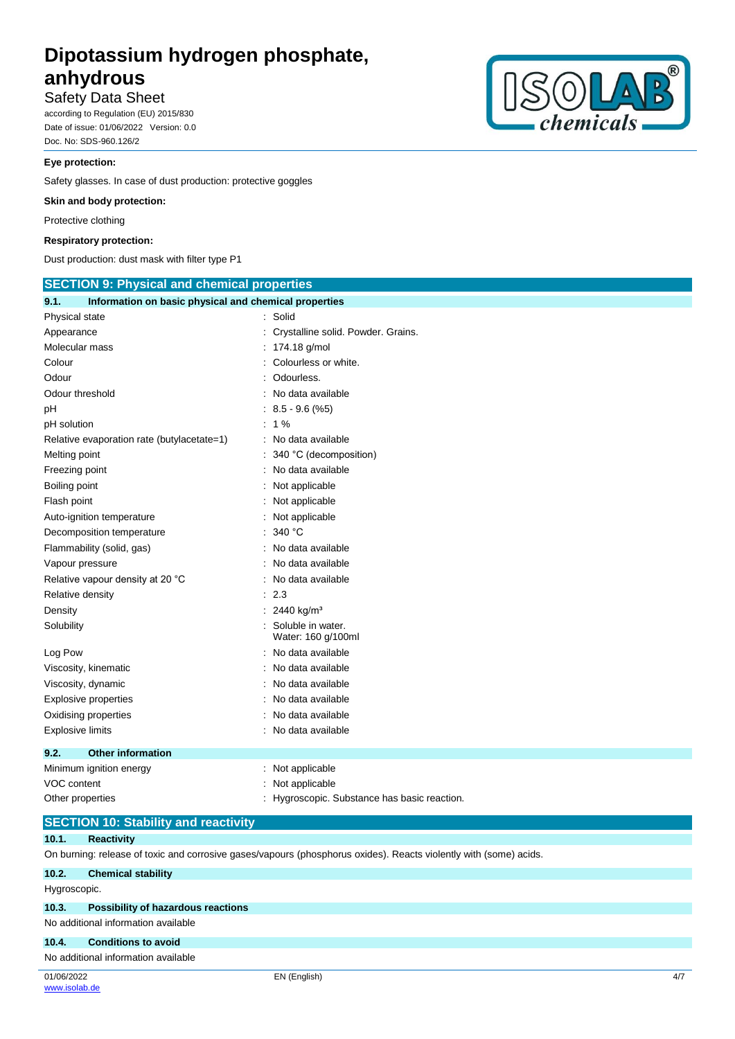### Safety Data Sheet

according to Regulation (EU) 2015/830 Date of issue: 01/06/2022 Version: 0.0 Doc. No: SDS-960.126/2

#### **Eye protection:**

Safety glasses. In case of dust production: protective goggles

#### **Skin and body protection:**

Protective clothing

#### **Respiratory protection:**

Dust production: dust mask with filter type P1



#### **SECTION 10: Stability and reactivity**

### **10.1. Reactivity**

On burning: release of toxic and corrosive gases/vapours (phosphorus oxides). Reacts violently with (some) acids.

| 10.2.        | <b>Chemical stability</b>                 |              |     |
|--------------|-------------------------------------------|--------------|-----|
| Hygroscopic. |                                           |              |     |
| 10.3.        | <b>Possibility of hazardous reactions</b> |              |     |
|              | No additional information available       |              |     |
| 10.4.        | <b>Conditions to avoid</b>                |              |     |
|              | No additional information available       |              |     |
| 01/06/2022   |                                           | EN (English) | 4/7 |



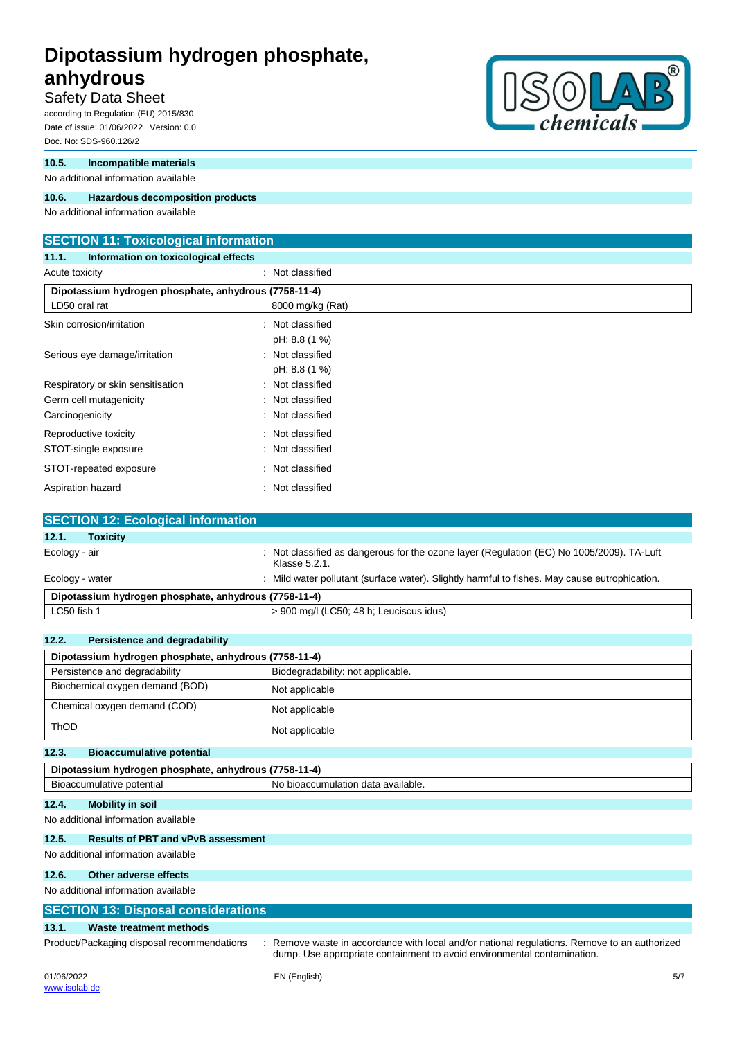# Safety Data Sheet

according to Regulation (EU) 2015/830 Date of issue: 01/06/2022 Version: 0.0 Doc. No: SDS-960.126/2

#### **10.5. Incompatible materials**

No additional information available

#### **10.6. Hazardous decomposition products**

No additional information available

#### **SECTION 11: Toxicological information**

**11.1. Information on toxicological effects**

# Acute toxicity **in the case of the Case of the Case of the Case of the Case of the Case of the Case of the Case of the Case of the Case of the Case of the Case of the Case of the Case of the Case of the Case of the Case of Dipotassium hydrogen phosphate, anhydrous (7758-11-4)** LD50 oral rat 8000 mg/kg (Rat) Skin corrosion/irritation : Not classified pH: 8.8 (1 %) Serious eye damage/irritation : Not classified pH: 8.8 (1 %) Respiratory or skin sensitisation : Not classified Germ cell mutagenicity **Second Contract Contract Contract Contract Contract Contract Contract Contract Contract Contract Contract Contract Contract Contract Contract Contract Contract Contract Contract Contract Contract Co** Carcinogenicity **Carcinogenicity** : Not classified Reproductive toxicity **in the case of the CRS** in Not classified STOT-single exposure in the state of the state of the STOT-single exposure STOT-repeated exposure : Not classified Aspiration hazard : Not classified

| <b>SECTION 12: Ecological information</b>             |                                                                                                            |
|-------------------------------------------------------|------------------------------------------------------------------------------------------------------------|
| 12.1.<br><b>Toxicity</b>                              |                                                                                                            |
| Ecology - air                                         | : Not classified as dangerous for the ozone layer (Regulation (EC) No 1005/2009). TA-Luft<br>Klasse 5.2.1. |
| Ecology - water                                       | : Mild water pollutant (surface water). Slightly harmful to fishes. May cause eutrophication.              |
| Dipotassium hydrogen phosphate, anhydrous (7758-11-4) |                                                                                                            |
| LC50 fish 1                                           | > 900 mg/l (LC50; 48 h; Leuciscus idus)                                                                    |

| 12.2.<br>Persistence and degradability                          |                                   |  |
|-----------------------------------------------------------------|-----------------------------------|--|
| Dipotassium hydrogen phosphate, anhydrous (7758-11-4)           |                                   |  |
| Persistence and degradability                                   | Biodegradability: not applicable. |  |
| Biochemical oxygen demand (BOD)                                 | Not applicable                    |  |
| Chemical oxygen demand (COD)                                    | Not applicable                    |  |
| <b>ThOD</b>                                                     | Not applicable                    |  |
| 12.3.<br><b>Bioaccumulative potential</b>                       |                                   |  |
| Dipotassium hydrogen phosphate, anhydrous (7758-11-4)           |                                   |  |
| Bioaccumulative potential<br>No bioaccumulation data available. |                                   |  |
| <b>Mobility in soil</b><br>12.4.                                |                                   |  |
| No additional information available                             |                                   |  |
| <b>Results of PBT and vPvB assessment</b><br>12.5.              |                                   |  |
| No additional information available                             |                                   |  |
| 12.6.<br>Other adverse effects                                  |                                   |  |
| No additional information available                             |                                   |  |
| <b>SECTION 13: Disposal considerations</b>                      |                                   |  |

dump. Use appropriate containment to avoid environmental contamination.

### **13.1. Waste treatment methods**

Product/Packaging disposal recommendations : Remove waste in accordance with local and/or national regulations. Remove to an authorized

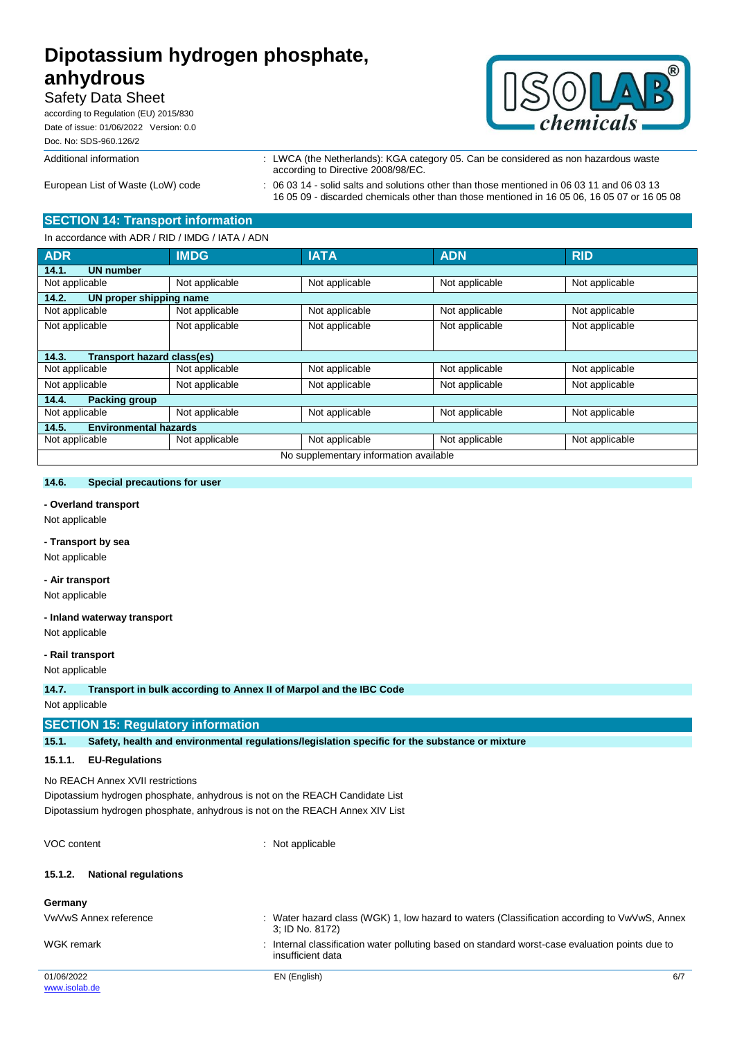# Safety Data Sheet

according to Regulation (EU) 2015/830 Date of issue: 01/06/2022 Version: 0.0 Doc. No: SDS-960.126/2



Additional information : LWCA (the Netherlands): KGA category 05. Can be considered as non hazardous waste according to Directive 2008/98/EC.

European List of Waste (LoW) code : 06 03 14 - solid salts and solutions other than those mentioned in 06 03 11 and 06 03 13 16 05 09 - discarded chemicals other than those mentioned in 16 05 06, 16 05 07 or 16 05 08

# **SECTION 14: Transport information**

In accordance with ADR / RID / IMDG / IATA / ADN

| <b>ADR</b>                             | <b>IMDG</b>    | <b>IATA</b>    | <b>ADN</b>     | <b>RID</b>     |
|----------------------------------------|----------------|----------------|----------------|----------------|
| <b>UN number</b><br>14.1.              |                |                |                |                |
| Not applicable                         | Not applicable | Not applicable | Not applicable | Not applicable |
| 14.2.<br>UN proper shipping name       |                |                |                |                |
| Not applicable                         | Not applicable | Not applicable | Not applicable | Not applicable |
| Not applicable                         | Not applicable | Not applicable | Not applicable | Not applicable |
|                                        |                |                |                |                |
| 14.3.<br>Transport hazard class(es)    |                |                |                |                |
| Not applicable                         | Not applicable | Not applicable | Not applicable | Not applicable |
| Not applicable                         | Not applicable | Not applicable | Not applicable | Not applicable |
| 14.4.<br><b>Packing group</b>          |                |                |                |                |
| Not applicable                         | Not applicable | Not applicable | Not applicable | Not applicable |
| <b>Environmental hazards</b><br>14.5.  |                |                |                |                |
| Not applicable                         | Not applicable | Not applicable | Not applicable | Not applicable |
| No supplementary information available |                |                |                |                |

#### **14.6. Special precautions for user**

#### **- Overland transport**

Not applicable

#### **- Transport by sea**

Not applicable

#### **- Air transport**

Not applicable

#### **- Inland waterway transport**

Not applicable

#### **- Rail transport**

Not applicable

**14.7. Transport in bulk according to Annex II of Marpol and the IBC Code**

Not applicable

#### **SECTION 15: Regulatory information**

**15.1. Safety, health and environmental regulations/legislation specific for the substance or mixture**

#### **15.1.1. EU-Regulations**

No REACH Annex XVII restrictions

Dipotassium hydrogen phosphate, anhydrous is not on the REACH Candidate List Dipotassium hydrogen phosphate, anhydrous is not on the REACH Annex XIV List

VOC content  $\qquad \qquad$  : Not applicable

#### **15.1.2. National regulations**

| Germany               |                                                                                                                    |     |
|-----------------------|--------------------------------------------------------------------------------------------------------------------|-----|
| VwVwS Annex reference | : Water hazard class (WGK) 1, low hazard to waters (Classification according to VwVwS, Annex<br>3; ID No. 8172)    |     |
| WGK remark            | Internal classification water polluting based on standard worst-case evaluation points due to<br>insufficient data |     |
| 01/06/2022            | EN (English)                                                                                                       | 6/7 |
| www.isolab.de         |                                                                                                                    |     |